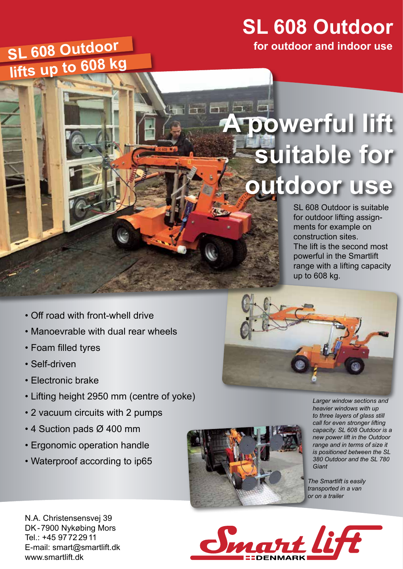## **SL 608 Outdoor lifts up to 608 kg**

## **SL 608 Outdoor for outdoor and indoor use**

## **A powerful lift suitable for outdoor use**

SL 608 Outdoor is suitable for outdoor lifting assignments for example on construction sites. The lift is the second most powerful in the Smartlift range with a lifting capacity up to 608 kg.

- Off road with front-whell drive
- Manoevrable with dual rear wheels
- Foam filled tyres
- Self-driven
- Electronic brake
- Lifting height 2950 mm (centre of yoke)
- 2 vacuum circuits with 2 pumps
- 4 Suction pads Ø 400 mm
- Ergonomic operation handle
- Waterproof according to ip65





*Larger window sections and heavier windows with up to three layers of glass still call for even stronger lifting capacity. SL 608 Outdoor is a new power lift in the Outdoor range and in terms of size it is positioned between the SL 380 Outdoor and the SL 780 Giant*

*The Smartlift is easily transported in a van or on a trailer*

N.A. Christensensvej 39 DK-7900 Nykøbing Mors Tel.: +45 9772 2911 E-mail: smart@smartlift.dk www.smartlift.dk